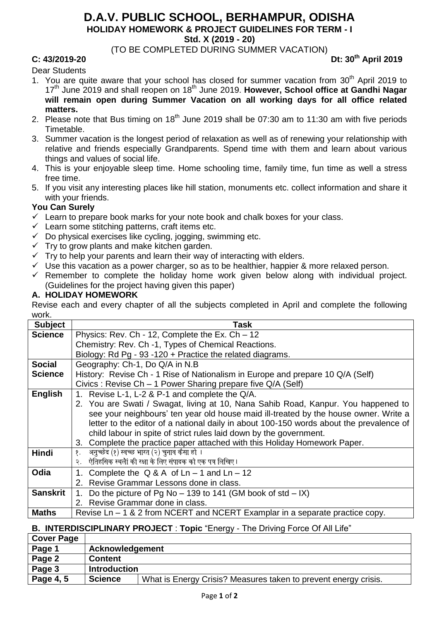## **D.A.V. PUBLIC SCHOOL, BERHAMPUR, ODISHA HOLIDAY HOMEWORK & PROJECT GUIDELINES FOR TERM - I**

**Std. X (2019 - 20)**

(TO BE COMPLETED DURING SUMMER VACATION)

#### **C: 43/2019-20 Dt: 30th April 2019**

Dear Students

- 1. You are quite aware that your school has closed for summer vacation from  $30<sup>th</sup>$  April 2019 to 17<sup>th</sup> June 2019 and shall reopen on 18<sup>th</sup> June 2019. However, School office at Gandhi Nagar **will remain open during Summer Vacation on all working days for all office related matters.**
- 2. Please note that Bus timing on 18<sup>th</sup> June 2019 shall be 07:30 am to 11:30 am with five periods Timetable.
- 3. Summer vacation is the longest period of relaxation as well as of renewing your relationship with relative and friends especially Grandparents. Spend time with them and learn about various things and values of social life.
- 4. This is your enjoyable sleep time. Home schooling time, family time, fun time as well a stress free time.
- 5. If you visit any interesting places like hill station, monuments etc. collect information and share it with your friends.

## **You Can Surely**

- $\checkmark$  Learn to prepare book marks for your note book and chalk boxes for your class.
- $\checkmark$  Learn some stitching patterns, craft items etc.
- $\checkmark$  Do physical exercises like cycling, jogging, swimming etc.
- $\checkmark$  Try to grow plants and make kitchen garden.
- $\checkmark$  Try to help your parents and learn their way of interacting with elders.
- $\checkmark$  Use this vacation as a power charger, so as to be healthier, happier & more relaxed person.
- $\checkmark$  Remember to complete the holiday home work given below along with individual project. (Guidelines for the project having given this paper)

#### **A. HOLIDAY HOMEWORK**

Revise each and every chapter of all the subjects completed in April and complete the following work.

| <b>Subject</b>  | <b>Task</b>                                                                             |  |  |  |  |  |  |
|-----------------|-----------------------------------------------------------------------------------------|--|--|--|--|--|--|
| <b>Science</b>  | Physics: Rev. Ch - 12, Complete the Ex. Ch - 12                                         |  |  |  |  |  |  |
|                 | Chemistry: Rev. Ch -1, Types of Chemical Reactions.                                     |  |  |  |  |  |  |
|                 | Biology: Rd Pg - 93 -120 + Practice the related diagrams.                               |  |  |  |  |  |  |
| <b>Social</b>   | Geography: Ch-1, Do Q/A in N.B                                                          |  |  |  |  |  |  |
| <b>Science</b>  | History: Revise Ch - 1 Rise of Nationalism in Europe and prepare 10 Q/A (Self)          |  |  |  |  |  |  |
|                 | Civics: Revise Ch - 1 Power Sharing prepare five Q/A (Self)                             |  |  |  |  |  |  |
| English         | 1. Revise L-1, L-2 & P-1 and complete the Q/A.                                          |  |  |  |  |  |  |
|                 | 2. You are Swati / Swagat, living at 10, Nana Sahib Road, Kanpur. You happened to       |  |  |  |  |  |  |
|                 | see your neighbours' ten year old house maid ill-treated by the house owner. Write a    |  |  |  |  |  |  |
|                 | letter to the editor of a national daily in about 100-150 words about the prevalence of |  |  |  |  |  |  |
|                 | child labour in spite of strict rules laid down by the government.                      |  |  |  |  |  |  |
|                 | 3. Complete the practice paper attached with this Holiday Homework Paper.               |  |  |  |  |  |  |
| <b>Hindi</b>    | अनुच्छेद (१) स्वच्छ भारत (२) चुनाव कैसा हो ।<br>१.                                      |  |  |  |  |  |  |
|                 | ऐतिहसिक स्थलेां की रक्षा के लिए संपादक को एक पत्र लिखिए।<br>२.                          |  |  |  |  |  |  |
| Odia            | 1. Complete the $Q & A$ of $Ln - 1$ and $Ln - 12$                                       |  |  |  |  |  |  |
|                 | 2. Revise Grammar Lessons done in class.                                                |  |  |  |  |  |  |
| <b>Sanskrit</b> | Do the picture of Pg No $-$ 139 to 141 (GM book of std $-$ IX)                          |  |  |  |  |  |  |
|                 | 2. Revise Grammar done in class.                                                        |  |  |  |  |  |  |
| <b>Maths</b>    | Revise $Ln - 1$ & 2 from NCERT and NCERT Examplar in a separate practice copy.          |  |  |  |  |  |  |

### **B. INTERDISCIPLINARY PROJECT** : **Topic** "Energy - The Driving Force Of All Life"

| <b>Cover Page</b> |                     |                                                                 |  |  |
|-------------------|---------------------|-----------------------------------------------------------------|--|--|
| Page 1            | Acknowledgement     |                                                                 |  |  |
| Page 2            | <b>Content</b>      |                                                                 |  |  |
| Page 3            | <b>Introduction</b> |                                                                 |  |  |
| Page 4, 5         | <b>Science</b>      | What is Energy Crisis? Measures taken to prevent energy crisis. |  |  |